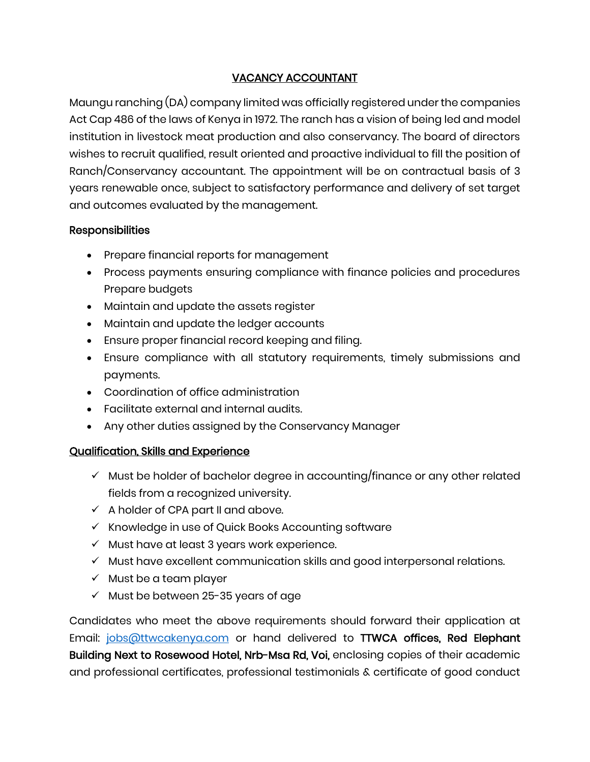## VACANCY ACCOUNTANT

Maungu ranching (DA) company limited was officially registered under the companies Act Cap 486 of the laws of Kenya in 1972. The ranch has a vision of being led and model institution in livestock meat production and also conservancy. The board of directors wishes to recruit qualified, result oriented and proactive individual to fill the position of Ranch/Conservancy accountant. The appointment will be on contractual basis of 3 years renewable once, subject to satisfactory performance and delivery of set target and outcomes evaluated by the management.

## **Responsibilities**

- Prepare financial reports for management
- Process payments ensuring compliance with finance policies and procedures Prepare budgets
- Maintain and update the assets register
- Maintain and update the ledger accounts
- Ensure proper financial record keeping and filing.
- Ensure compliance with all statutory requirements, timely submissions and payments.
- Coordination of office administration
- Facilitate external and internal audits.
- Any other duties assigned by the Conservancy Manager

## Qualification, Skills and Experience

- $\checkmark$  Must be holder of bachelor degree in accounting/finance or any other related fields from a recognized university.
- $\checkmark$  A holder of CPA part II and above.
- ✓ Knowledge in use of Quick Books Accounting software
- ✓ Must have at least 3 years work experience.
- ✓ Must have excellent communication skills and good interpersonal relations.
- $\checkmark$  Must be a team player
- $\checkmark$  Must be between 25-35 years of age

Candidates who meet the above requirements should forward their application at Email: [jobs@ttwcakenya.com](mailto:jobs@ttwcakenya.com) or hand delivered to **TTWCA offices, Red Elephant** Building Next to Rosewood Hotel, Nrb-Msa Rd, Voi, enclosing copies of their academic and professional certificates, professional testimonials & certificate of good conduct